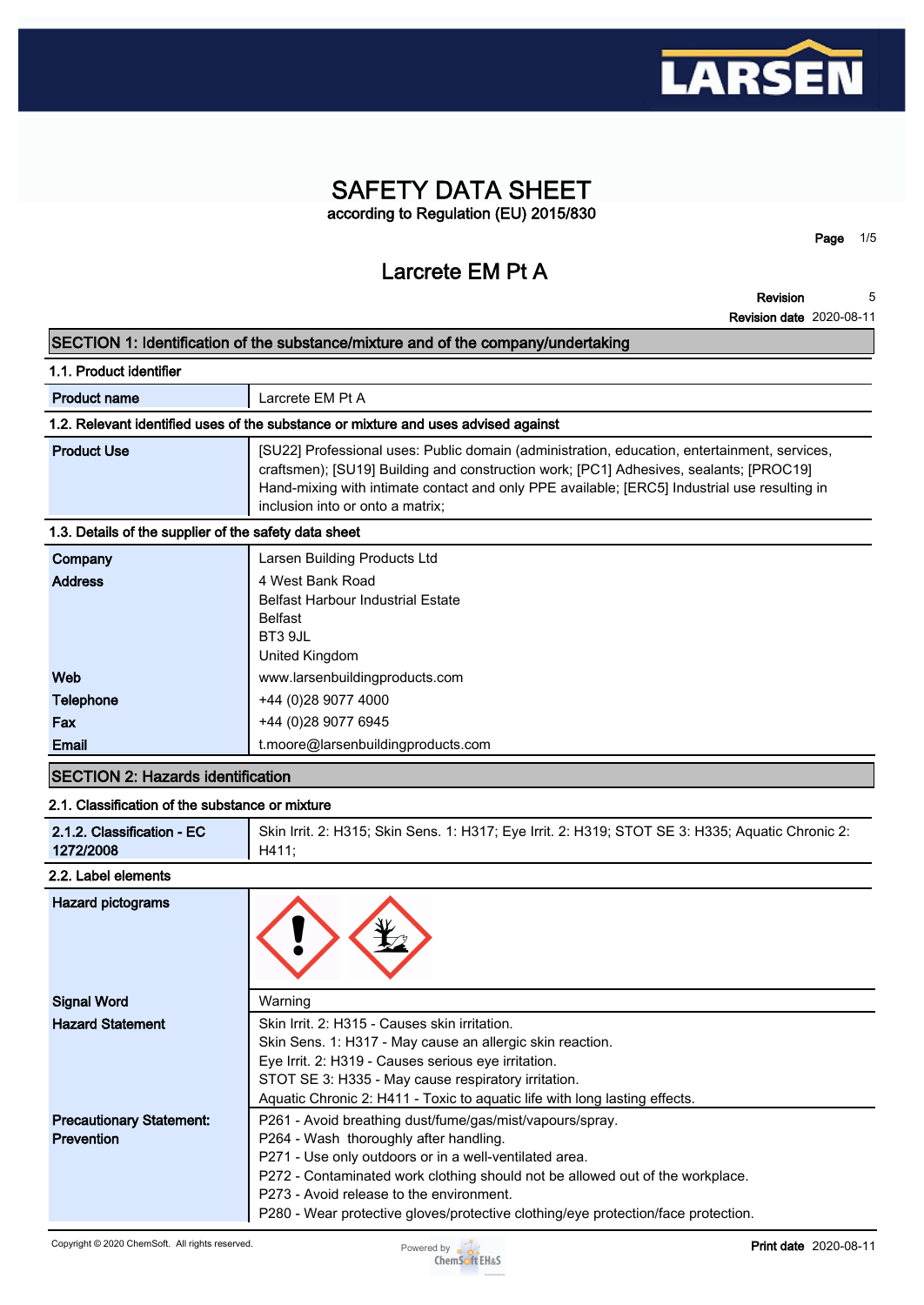

# **SAFETY DATA SHEET according to Regulation (EU) 2015/830**

**Larcrete EM Pt A**

**Revision 5**

**Page 1/5**

**Revision date 2020-08-11**

### **SECTION 1: Identification of the substance/mixture and of the company/undertaking**

| 1.1. Product identifier                                                            |                                                                                                                                                                                                                                                                                                                            |  |  |
|------------------------------------------------------------------------------------|----------------------------------------------------------------------------------------------------------------------------------------------------------------------------------------------------------------------------------------------------------------------------------------------------------------------------|--|--|
| <b>Product name</b>                                                                | Larcrete EM Pt A                                                                                                                                                                                                                                                                                                           |  |  |
| 1.2. Relevant identified uses of the substance or mixture and uses advised against |                                                                                                                                                                                                                                                                                                                            |  |  |
| <b>Product Use</b>                                                                 | [SU22] Professional uses: Public domain (administration, education, entertainment, services,<br>craftsmen); [SU19] Building and construction work; [PC1] Adhesives, sealants; [PROC19]<br>Hand-mixing with intimate contact and only PPE available; [ERC5] Industrial use resulting in<br>inclusion into or onto a matrix; |  |  |
| 1.3. Details of the supplier of the safety data sheet                              |                                                                                                                                                                                                                                                                                                                            |  |  |
| Company                                                                            | Larsen Building Products Ltd                                                                                                                                                                                                                                                                                               |  |  |
| <b>Address</b>                                                                     | 4 West Bank Road<br><b>Belfast Harbour Industrial Estate</b>                                                                                                                                                                                                                                                               |  |  |
|                                                                                    | <b>Belfast</b>                                                                                                                                                                                                                                                                                                             |  |  |
|                                                                                    | BT3 9JL<br>United Kingdom                                                                                                                                                                                                                                                                                                  |  |  |
| Web                                                                                | www.larsenbuildingproducts.com                                                                                                                                                                                                                                                                                             |  |  |
| <b>Telephone</b>                                                                   | +44 (0) 28 9077 4000                                                                                                                                                                                                                                                                                                       |  |  |
| Fax                                                                                | +44 (0)28 9077 6945                                                                                                                                                                                                                                                                                                        |  |  |

# **SECTION 2: Hazards identification**

#### **2.1. Classification of the substance or mixture**

**Email t.moore@larsenbuildingproducts.com**

| 2.1.2. Classification - EC | Skin Irrit. 2: H315; Skin Sens. 1: H317; Eye Irrit. 2: H319; STOT SE 3: H335; Aquatic Chronic 2: |
|----------------------------|--------------------------------------------------------------------------------------------------|
| 1272/2008                  | H411:                                                                                            |

#### **2.2. Label elements**

| <b>Hazard pictograms</b>        |                                                                                   |
|---------------------------------|-----------------------------------------------------------------------------------|
| <b>Signal Word</b>              | Warning                                                                           |
| <b>Hazard Statement</b>         | Skin Irrit. 2: H315 - Causes skin irritation.                                     |
|                                 | Skin Sens. 1: H317 - May cause an allergic skin reaction.                         |
|                                 | Eye Irrit. 2: H319 - Causes serious eye irritation.                               |
|                                 | STOT SE 3: H335 - May cause respiratory irritation.                               |
|                                 | Aquatic Chronic 2: H411 - Toxic to aquatic life with long lasting effects.        |
| <b>Precautionary Statement:</b> | P261 - Avoid breathing dust/fume/gas/mist/vapours/spray.                          |
| <b>Prevention</b>               | P264 - Wash thoroughly after handling.                                            |
|                                 | P271 - Use only outdoors or in a well-ventilated area.                            |
|                                 | P272 - Contaminated work clothing should not be allowed out of the workplace.     |
|                                 | P273 - Avoid release to the environment.                                          |
|                                 | P280 - Wear protective gloves/protective clothing/eye protection/face protection. |

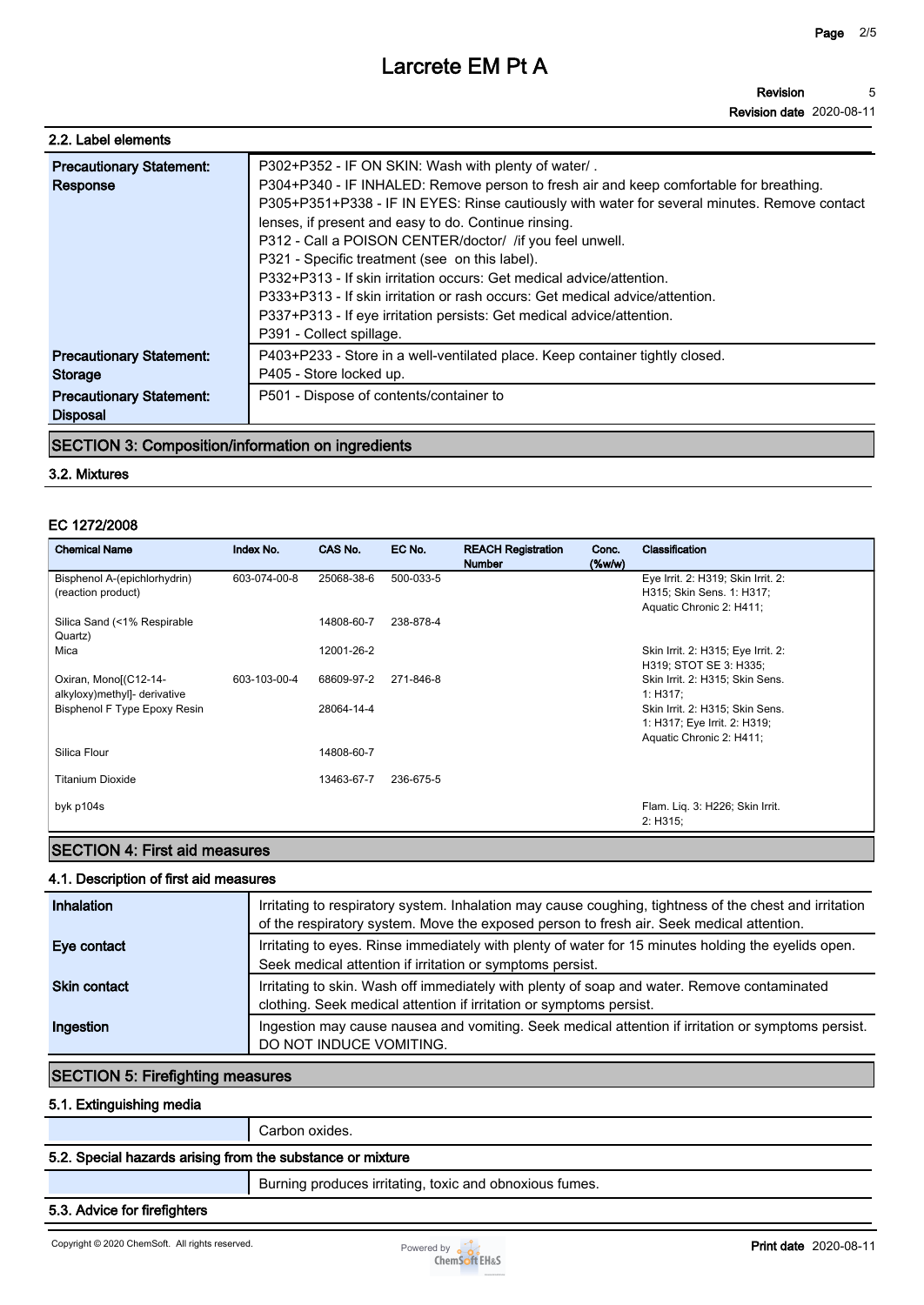**Revision date 2020-08-11**

| 2.2. Label elements                                                                              |                                                                                                                                                                                                                                                                                                                                                                                                                                                                                                                                                                                                                                                                                   |
|--------------------------------------------------------------------------------------------------|-----------------------------------------------------------------------------------------------------------------------------------------------------------------------------------------------------------------------------------------------------------------------------------------------------------------------------------------------------------------------------------------------------------------------------------------------------------------------------------------------------------------------------------------------------------------------------------------------------------------------------------------------------------------------------------|
| <b>Precautionary Statement:</b><br>Response                                                      | P302+P352 - IF ON SKIN: Wash with plenty of water/.<br>P304+P340 - IF INHALED: Remove person to fresh air and keep comfortable for breathing.<br>P305+P351+P338 - IF IN EYES: Rinse cautiously with water for several minutes. Remove contact<br>lenses, if present and easy to do. Continue rinsing.<br>P312 - Call a POISON CENTER/doctor/ / if you feel unwell.<br>P321 - Specific treatment (see on this label).<br>P332+P313 - If skin irritation occurs: Get medical advice/attention.<br>P333+P313 - If skin irritation or rash occurs: Get medical advice/attention.<br>P337+P313 - If eye irritation persists: Get medical advice/attention.<br>P391 - Collect spillage. |
| <b>Precautionary Statement:</b><br>Storage<br><b>Precautionary Statement:</b><br><b>Disposal</b> | P403+P233 - Store in a well-ventilated place. Keep container tightly closed.<br>P405 - Store locked up.<br>P501 - Dispose of contents/container to                                                                                                                                                                                                                                                                                                                                                                                                                                                                                                                                |

### **SECTION 3: Composition/information on ingredients**

#### **3.2. Mixtures**

#### **EC 1272/2008**

| <b>Chemical Name</b>                   | Index No.    | CAS No.    | EC No.    | <b>REACH Registration</b><br><b>Number</b> | Conc.<br>$(\%w/w)$ | Classification                                                  |
|----------------------------------------|--------------|------------|-----------|--------------------------------------------|--------------------|-----------------------------------------------------------------|
| Bisphenol A-(epichlorhydrin)           | 603-074-00-8 | 25068-38-6 | 500-033-5 |                                            |                    | Eye Irrit. 2: H319; Skin Irrit. 2:                              |
| (reaction product)                     |              |            |           |                                            |                    | H315; Skin Sens. 1: H317;                                       |
|                                        |              |            |           |                                            |                    | Aquatic Chronic 2: H411;                                        |
| Silica Sand (<1% Respirable<br>Quartz) |              | 14808-60-7 | 238-878-4 |                                            |                    |                                                                 |
| Mica                                   |              | 12001-26-2 |           |                                            |                    | Skin Irrit. 2: H315; Eye Irrit. 2:                              |
|                                        |              |            |           |                                            |                    | H319; STOT SE 3: H335;                                          |
| Oxiran, Mono[(C12-14-                  | 603-103-00-4 | 68609-97-2 | 271-846-8 |                                            |                    | Skin Irrit. 2: H315; Skin Sens.                                 |
| alkyloxy)methyl]- derivative           |              | 28064-14-4 |           |                                            |                    | 1: H317:                                                        |
| Bisphenol F Type Epoxy Resin           |              |            |           |                                            |                    | Skin Irrit. 2: H315; Skin Sens.<br>1: H317; Eye Irrit. 2: H319; |
|                                        |              |            |           |                                            |                    | Aquatic Chronic 2: H411;                                        |
| Silica Flour                           |              | 14808-60-7 |           |                                            |                    |                                                                 |
|                                        |              |            |           |                                            |                    |                                                                 |
| <b>Titanium Dioxide</b>                |              | 13463-67-7 | 236-675-5 |                                            |                    |                                                                 |
|                                        |              |            |           |                                            |                    |                                                                 |
| byk p104s                              |              |            |           |                                            |                    | Flam. Liq. 3: H226; Skin Irrit.<br>2: H315:                     |
|                                        |              |            |           |                                            |                    |                                                                 |

# **SECTION 4: First aid measures**

# **4.1. Description of first aid measures**

| Inhalation          | Irritating to respiratory system. Inhalation may cause coughing, tightness of the chest and irritation<br>of the respiratory system. Move the exposed person to fresh air. Seek medical attention. |
|---------------------|----------------------------------------------------------------------------------------------------------------------------------------------------------------------------------------------------|
| Eye contact         | Irritating to eyes. Rinse immediately with plenty of water for 15 minutes holding the eyelids open.<br>Seek medical attention if irritation or symptoms persist.                                   |
| <b>Skin contact</b> | Irritating to skin. Wash off immediately with plenty of soap and water. Remove contaminated<br>clothing. Seek medical attention if irritation or symptoms persist.                                 |
| Ingestion           | Ingestion may cause nausea and vomiting. Seek medical attention if irritation or symptoms persist.<br>DO NOT INDUCE VOMITING.                                                                      |

# **SECTION 5: Firefighting measures**

### **5.1. Extinguishing media**

**Carbon oxides.**

# **5.2. Special hazards arising from the substance or mixture**

**Burning produces irritating, toxic and obnoxious fumes.**

# **5.3. Advice for firefighters**

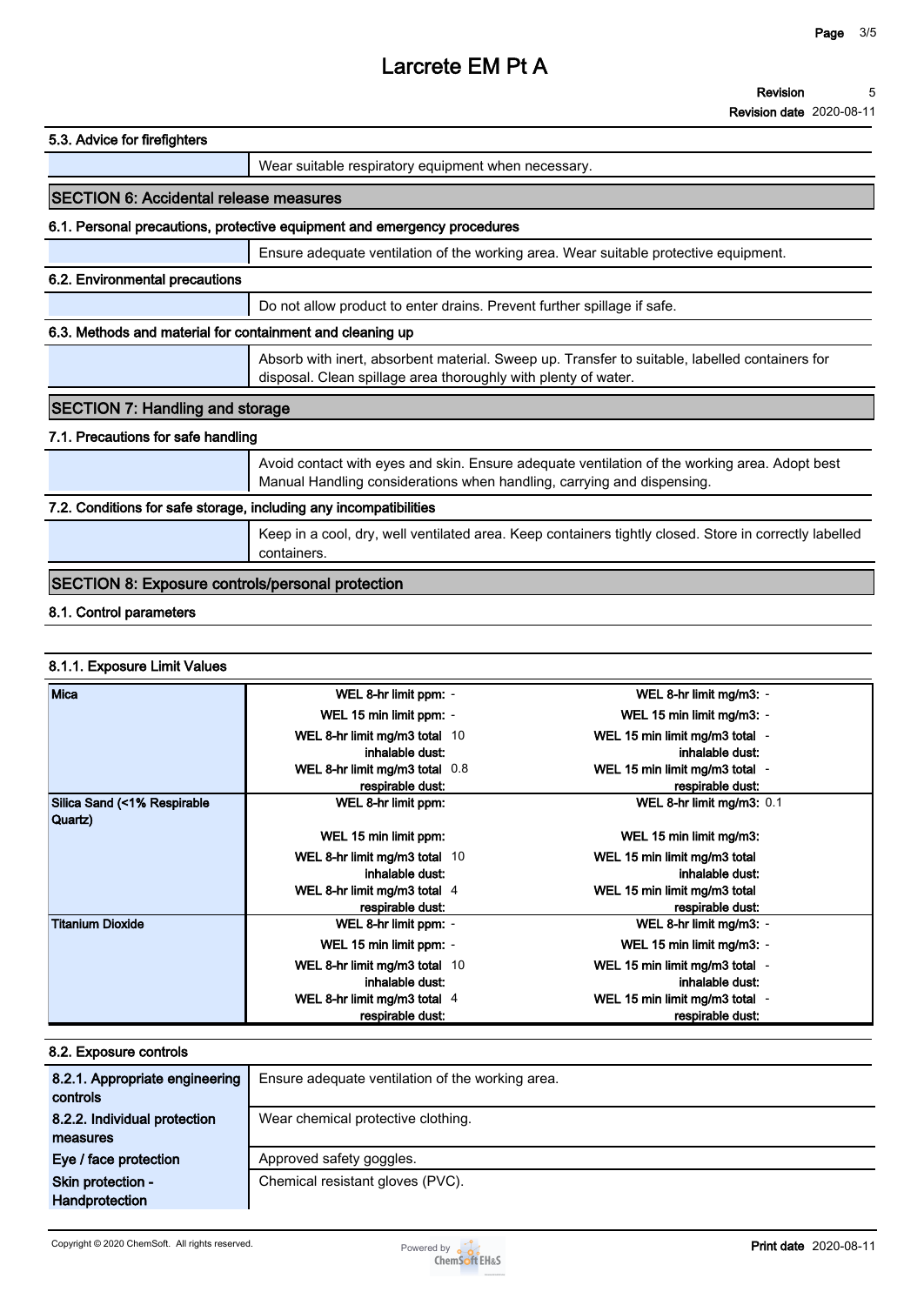| Revision                        | 5 |
|---------------------------------|---|
| <b>Revision date 2020-08-11</b> |   |

| 5.3. Advice for firefighters                                      |                                                                                                                                                                         |  |
|-------------------------------------------------------------------|-------------------------------------------------------------------------------------------------------------------------------------------------------------------------|--|
|                                                                   | Wear suitable respiratory equipment when necessary.                                                                                                                     |  |
| <b>SECTION 6: Accidental release measures</b>                     |                                                                                                                                                                         |  |
|                                                                   | 6.1. Personal precautions, protective equipment and emergency procedures                                                                                                |  |
|                                                                   | Ensure adequate ventilation of the working area. Wear suitable protective equipment.                                                                                    |  |
| 6.2. Environmental precautions                                    |                                                                                                                                                                         |  |
|                                                                   | Do not allow product to enter drains. Prevent further spillage if safe.                                                                                                 |  |
| 6.3. Methods and material for containment and cleaning up         |                                                                                                                                                                         |  |
|                                                                   | Absorb with inert, absorbent material. Sweep up. Transfer to suitable, labelled containers for<br>disposal. Clean spillage area thoroughly with plenty of water.        |  |
| <b>SECTION 7: Handling and storage</b>                            |                                                                                                                                                                         |  |
| 7.1. Precautions for safe handling                                |                                                                                                                                                                         |  |
|                                                                   | Avoid contact with eyes and skin. Ensure adequate ventilation of the working area. Adopt best<br>Manual Handling considerations when handling, carrying and dispensing. |  |
| 7.2. Conditions for safe storage, including any incompatibilities |                                                                                                                                                                         |  |
|                                                                   | Keep in a cool, dry, well ventilated area. Keep containers tightly closed. Store in correctly labelled                                                                  |  |

# **SECTION 8: Exposure controls/personal protection**

# **8.1. Control parameters**

# **8.1.1. Exposure Limit Values**

| Mica                                   | WEL 8-hr limit ppm: -          | WEL 8-hr limit mg/m3: -        |
|----------------------------------------|--------------------------------|--------------------------------|
|                                        | WEL 15 min limit ppm: -        | WEL 15 min limit mg/m3: -      |
|                                        | WEL 8-hr limit mg/m3 total 10  | WEL 15 min limit mg/m3 total - |
|                                        | inhalable dust:                | inhalable dust:                |
|                                        | WEL 8-hr limit mg/m3 total 0.8 | WEL 15 min limit mg/m3 total - |
|                                        | respirable dust:               | respirable dust:               |
| Silica Sand (<1% Respirable<br>Quartz) | WEL 8-hr limit ppm:            | WEL 8-hr limit mg/m3: 0.1      |
|                                        | WEL 15 min limit ppm:          | WEL 15 min limit mg/m3:        |
|                                        | WEL 8-hr limit mg/m3 total 10  | WEL 15 min limit mg/m3 total   |
|                                        | inhalable dust:                | inhalable dust:                |
|                                        | WEL 8-hr limit mg/m3 total 4   | WEL 15 min limit mg/m3 total   |
|                                        | respirable dust:               | respirable dust:               |
| Titanium Dioxide                       | WEL 8-hr limit ppm: -          | WEL 8-hr limit mg/m3: -        |
|                                        | WEL 15 min limit ppm: -        | WEL 15 min limit mg/m3: -      |
|                                        | WEL 8-hr limit mg/m3 total 10  | WEL 15 min limit mg/m3 total - |
|                                        | inhalable dust:                | inhalable dust:                |
|                                        | WEL 8-hr limit mg/m3 total 4   | WEL 15 min limit mg/m3 total - |
|                                        | respirable dust:               | respirable dust:               |

| 8.2. Exposure controls                     |                                                  |  |  |  |
|--------------------------------------------|--------------------------------------------------|--|--|--|
| 8.2.1. Appropriate engineering<br>controls | Ensure adequate ventilation of the working area. |  |  |  |
| 8.2.2. Individual protection               | Wear chemical protective clothing.               |  |  |  |
| measures                                   |                                                  |  |  |  |
| Eye / face protection                      | Approved safety goggles.                         |  |  |  |
| Skin protection -                          | Chemical resistant gloves (PVC).                 |  |  |  |
| Handprotection                             |                                                  |  |  |  |

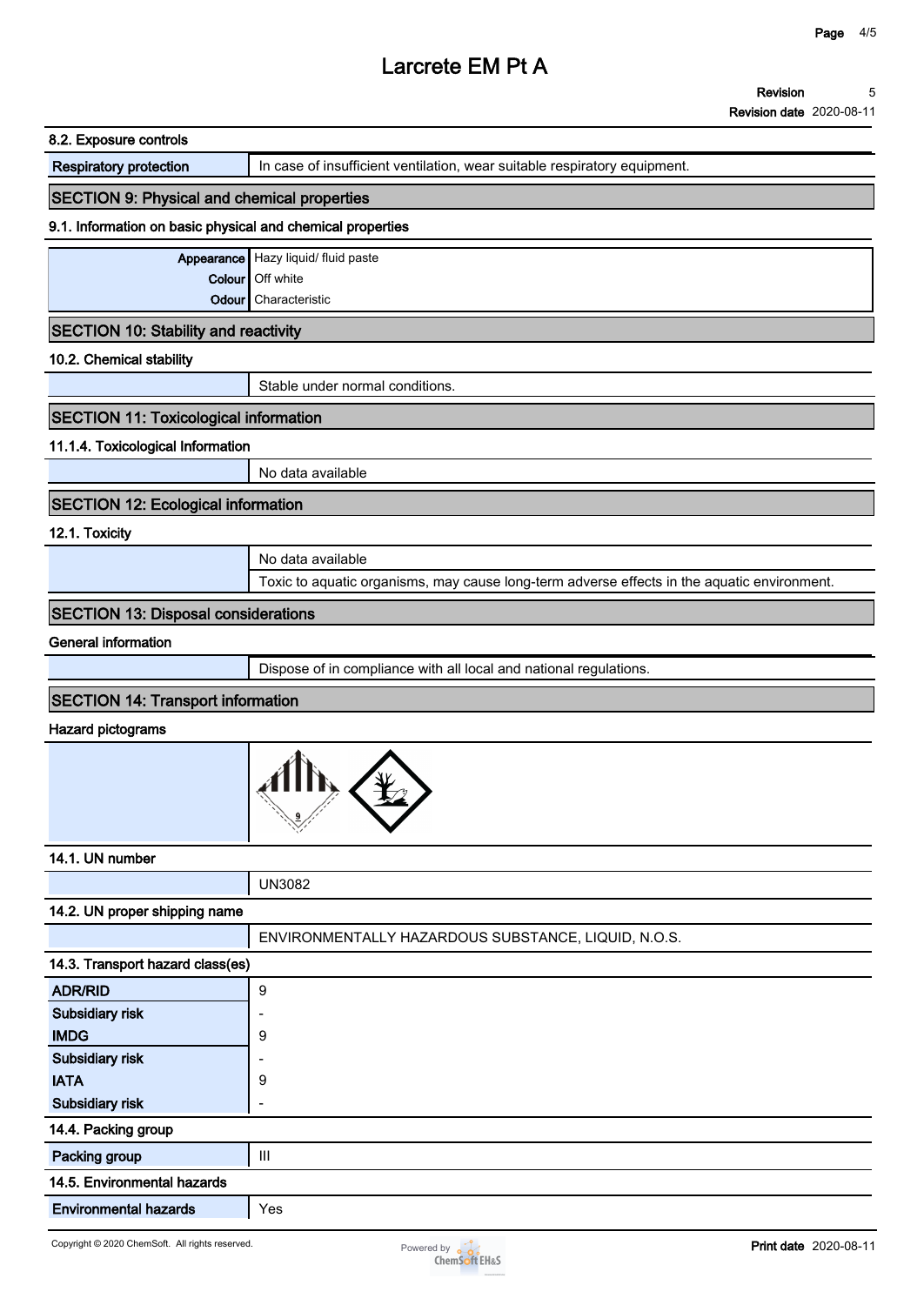| <b>Respiratory protection</b>                              | In case of insufficient ventilation, wear suitable respiratory equipment.                   |  |  |  |
|------------------------------------------------------------|---------------------------------------------------------------------------------------------|--|--|--|
| <b>SECTION 9: Physical and chemical properties</b>         |                                                                                             |  |  |  |
| 9.1. Information on basic physical and chemical properties |                                                                                             |  |  |  |
|                                                            | Appearance Hazy liquid/ fluid paste                                                         |  |  |  |
| Colour                                                     | Off white                                                                                   |  |  |  |
| Odour                                                      | Characteristic                                                                              |  |  |  |
| <b>SECTION 10: Stability and reactivity</b>                |                                                                                             |  |  |  |
| 10.2. Chemical stability                                   |                                                                                             |  |  |  |
|                                                            | Stable under normal conditions.                                                             |  |  |  |
| <b>SECTION 11: Toxicological information</b>               |                                                                                             |  |  |  |
| 11.1.4. Toxicological Information                          |                                                                                             |  |  |  |
|                                                            | No data available                                                                           |  |  |  |
| <b>SECTION 12: Ecological information</b>                  |                                                                                             |  |  |  |
| 12.1. Toxicity                                             |                                                                                             |  |  |  |
|                                                            | No data available                                                                           |  |  |  |
|                                                            | Toxic to aquatic organisms, may cause long-term adverse effects in the aquatic environment. |  |  |  |
| <b>SECTION 13: Disposal considerations</b>                 |                                                                                             |  |  |  |
| <b>General information</b>                                 |                                                                                             |  |  |  |
|                                                            | Dispose of in compliance with all local and national regulations.                           |  |  |  |
| <b>SECTION 14: Transport information</b>                   |                                                                                             |  |  |  |
| <b>Hazard pictograms</b>                                   |                                                                                             |  |  |  |
|                                                            |                                                                                             |  |  |  |
| 14.1. UN number                                            |                                                                                             |  |  |  |
|                                                            | <b>UN3082</b>                                                                               |  |  |  |
| 14.2. UN proper shipping name                              |                                                                                             |  |  |  |
|                                                            | ENVIRONMENTALLY HAZARDOUS SUBSTANCE, LIQUID, N.O.S.                                         |  |  |  |
| 14.3. Transport hazard class(es)                           |                                                                                             |  |  |  |
| <b>ADR/RID</b>                                             | $\boldsymbol{9}$                                                                            |  |  |  |
| Subsidiary risk                                            |                                                                                             |  |  |  |
| <b>IMDG</b>                                                | 9                                                                                           |  |  |  |
| Subsidiary risk                                            |                                                                                             |  |  |  |
| <b>IATA</b>                                                | 9                                                                                           |  |  |  |
| Subsidiary risk                                            | L,                                                                                          |  |  |  |
| 14.4. Packing group                                        |                                                                                             |  |  |  |
| Packing group                                              | Ш                                                                                           |  |  |  |
| 14.5. Environmental hazards                                |                                                                                             |  |  |  |
| <b>Environmental hazards</b>                               | Yes                                                                                         |  |  |  |

**8.2. Exposure controls**

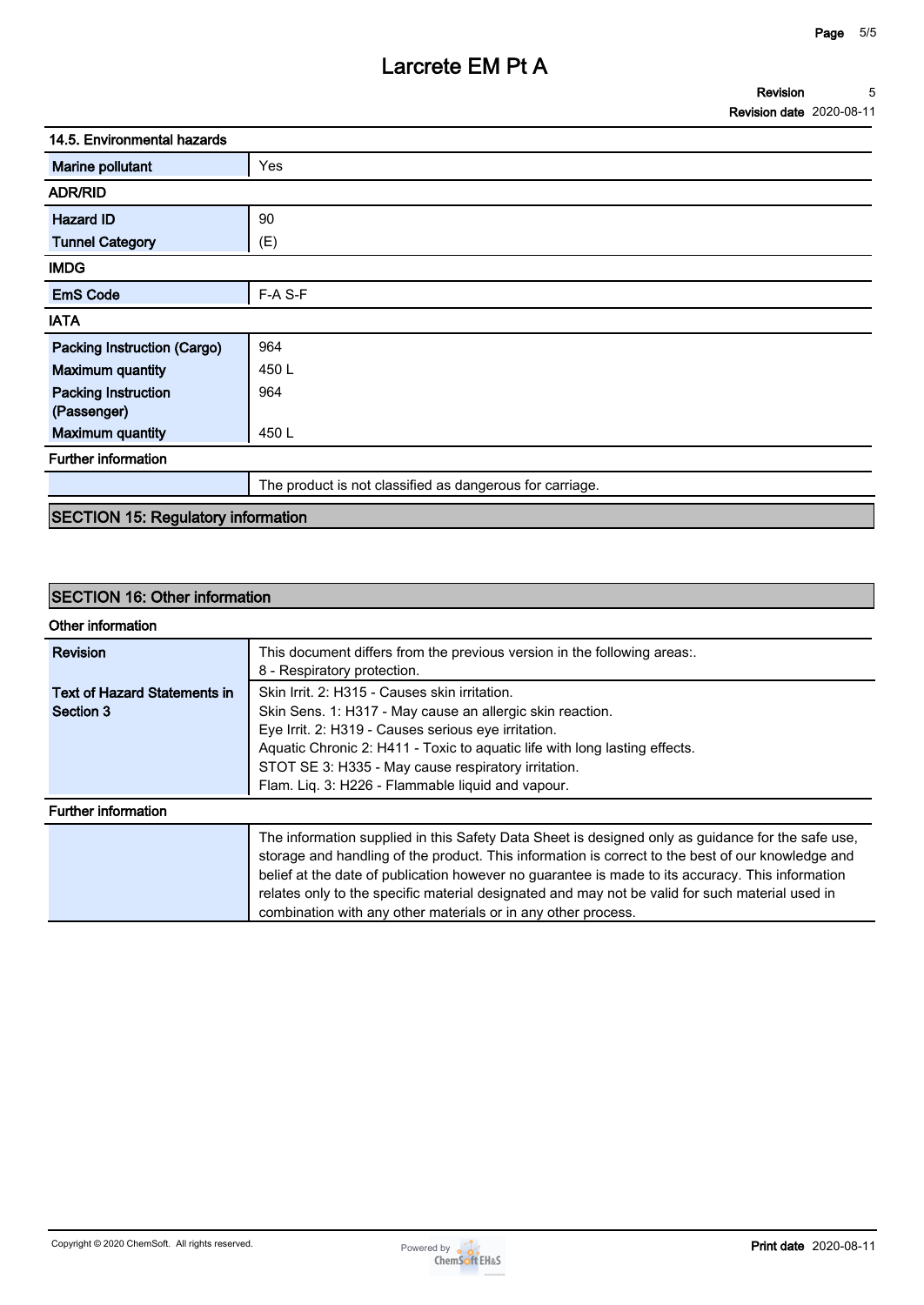| 14.5. Environmental hazards |                                                          |  |
|-----------------------------|----------------------------------------------------------|--|
| Marine pollutant            | Yes                                                      |  |
| <b>ADR/RID</b>              |                                                          |  |
| <b>Hazard ID</b>            | 90                                                       |  |
| <b>Tunnel Category</b>      | (E)                                                      |  |
| <b>IMDG</b>                 |                                                          |  |
| <b>EmS Code</b>             | F-A S-F                                                  |  |
| <b>IATA</b>                 |                                                          |  |
| Packing Instruction (Cargo) | 964                                                      |  |
| <b>Maximum quantity</b>     | 450L                                                     |  |
| <b>Packing Instruction</b>  | 964                                                      |  |
| (Passenger)                 |                                                          |  |
| <b>Maximum quantity</b>     | 450 L                                                    |  |
| <b>Further information</b>  |                                                          |  |
|                             | The product is not classified as dangerous for carriage. |  |
|                             |                                                          |  |

# **SECTION 15: Regulatory information**

# **SECTION 16: Other information**

| Other information                                |                                                                                                                                                                                                                                                                                                                                                                                                                                                                                |  |  |  |
|--------------------------------------------------|--------------------------------------------------------------------------------------------------------------------------------------------------------------------------------------------------------------------------------------------------------------------------------------------------------------------------------------------------------------------------------------------------------------------------------------------------------------------------------|--|--|--|
| <b>Revision</b>                                  | This document differs from the previous version in the following areas:.<br>8 - Respiratory protection.                                                                                                                                                                                                                                                                                                                                                                        |  |  |  |
| <b>Text of Hazard Statements in</b><br>Section 3 | Skin Irrit. 2: H315 - Causes skin irritation.<br>Skin Sens. 1: H317 - May cause an allergic skin reaction.<br>Eye Irrit. 2: H319 - Causes serious eye irritation.<br>Aquatic Chronic 2: H411 - Toxic to aquatic life with long lasting effects.<br>STOT SE 3: H335 - May cause respiratory irritation.<br>Flam. Lig. 3: H226 - Flammable liquid and vapour.                                                                                                                    |  |  |  |
| <b>Further information</b>                       |                                                                                                                                                                                                                                                                                                                                                                                                                                                                                |  |  |  |
|                                                  | The information supplied in this Safety Data Sheet is designed only as guidance for the safe use,<br>storage and handling of the product. This information is correct to the best of our knowledge and<br>belief at the date of publication however no guarantee is made to its accuracy. This information<br>relates only to the specific material designated and may not be valid for such material used in<br>combination with any other materials or in any other process. |  |  |  |

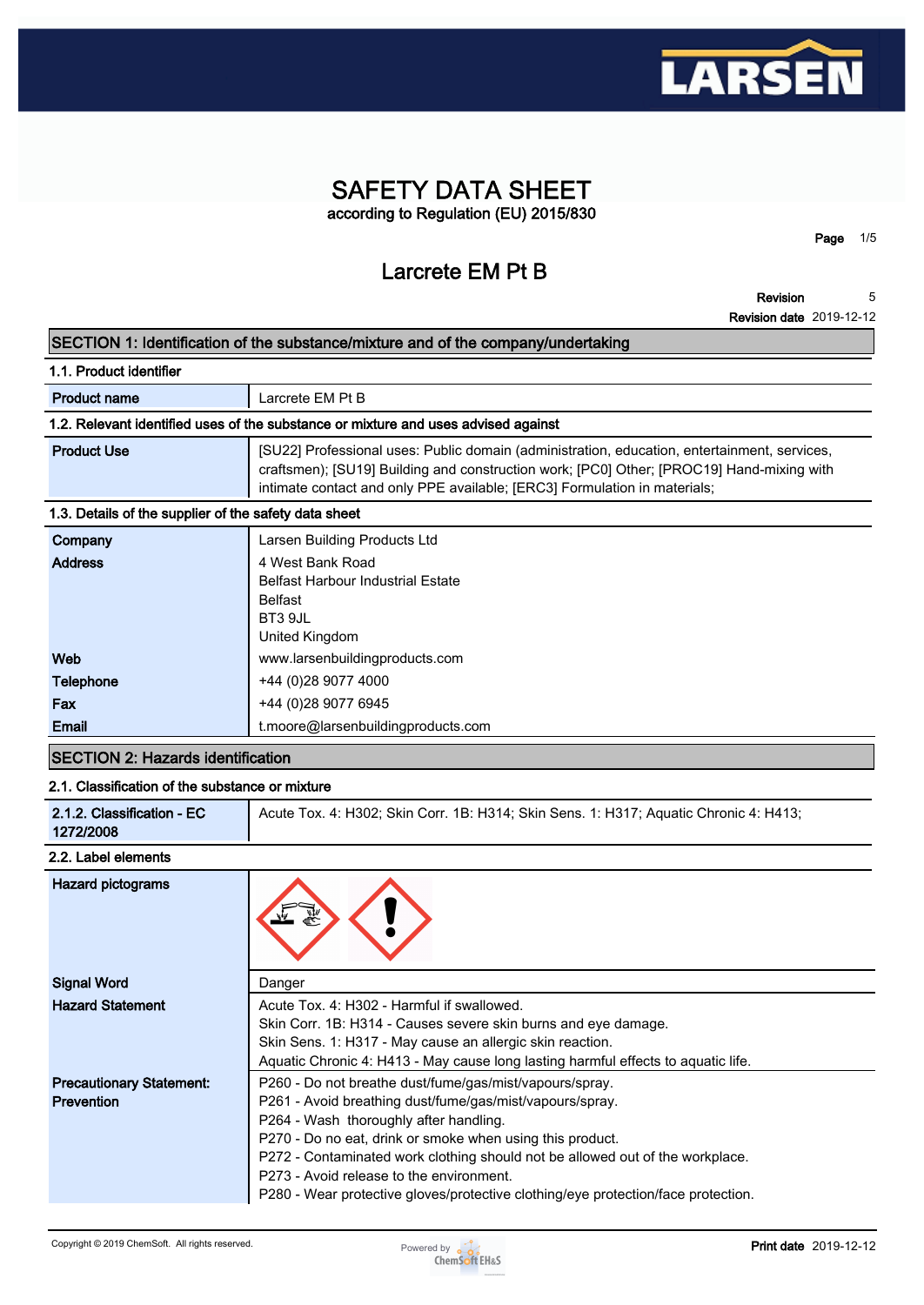

# **SAFETY DATA SHEET according to Regulation (EU) 2015/830**

**Larcrete EM Pt B**

**Revision 5**

**Page 1/5**

|                                                       | <b>Revision date 2019-12-12</b>                                                                                                                                                                                                                                        |
|-------------------------------------------------------|------------------------------------------------------------------------------------------------------------------------------------------------------------------------------------------------------------------------------------------------------------------------|
|                                                       | SECTION 1: Identification of the substance/mixture and of the company/undertaking                                                                                                                                                                                      |
| 1.1. Product identifier                               |                                                                                                                                                                                                                                                                        |
| <b>Product name</b>                                   | Larcrete EM Pt B                                                                                                                                                                                                                                                       |
|                                                       | 1.2. Relevant identified uses of the substance or mixture and uses advised against                                                                                                                                                                                     |
| <b>Product Use</b>                                    | [SU22] Professional uses: Public domain (administration, education, entertainment, services,<br>craftsmen); [SU19] Building and construction work; [PC0] Other; [PROC19] Hand-mixing with<br>intimate contact and only PPE available; [ERC3] Formulation in materials; |
| 1.3. Details of the supplier of the safety data sheet |                                                                                                                                                                                                                                                                        |
| Company                                               | Larsen Building Products Ltd                                                                                                                                                                                                                                           |
| <b>Address</b>                                        | 4 West Bank Road<br><b>Belfast Harbour Industrial Estate</b><br><b>Belfast</b><br>BT3 9JL<br>United Kingdom                                                                                                                                                            |
| Web                                                   | www.larsenbuildingproducts.com                                                                                                                                                                                                                                         |
| <b>Telephone</b>                                      | +44 (0)28 9077 4000                                                                                                                                                                                                                                                    |
| Fax                                                   | +44 (0)28 9077 6945                                                                                                                                                                                                                                                    |
| Email                                                 | t.moore@larsenbuildingproducts.com                                                                                                                                                                                                                                     |
| <b>SECTION 2: Hazards identification</b>              |                                                                                                                                                                                                                                                                        |
| 2.1. Classification of the substance or mixture       |                                                                                                                                                                                                                                                                        |
| 2.1.2. Classification - EC                            | Acute Tox. 4: H302; Skin Corr. 1B: H314; Skin Sens. 1: H317; Aquatic Chronic 4: H413;                                                                                                                                                                                  |

# **2.2. Label elements**

**2.1.2. Classification - EC 1272/2008**

| Hazard pictograms               |                                                                                   |  |  |  |
|---------------------------------|-----------------------------------------------------------------------------------|--|--|--|
| <b>Signal Word</b>              | Danger                                                                            |  |  |  |
| <b>Hazard Statement</b>         | Acute Tox. 4: H302 - Harmful if swallowed.                                        |  |  |  |
|                                 | Skin Corr. 1B: H314 - Causes severe skin burns and eye damage.                    |  |  |  |
|                                 | Skin Sens. 1: H317 - May cause an allergic skin reaction.                         |  |  |  |
|                                 | Aquatic Chronic 4: H413 - May cause long lasting harmful effects to aquatic life. |  |  |  |
| <b>Precautionary Statement:</b> | P260 - Do not breathe dust/fume/gas/mist/vapours/spray.                           |  |  |  |
| <b>Prevention</b>               | P261 - Avoid breathing dust/fume/gas/mist/vapours/spray.                          |  |  |  |
|                                 | P264 - Wash thoroughly after handling.                                            |  |  |  |
|                                 | P270 - Do no eat, drink or smoke when using this product.                         |  |  |  |
|                                 | P272 - Contaminated work clothing should not be allowed out of the workplace.     |  |  |  |
|                                 | P273 - Avoid release to the environment.                                          |  |  |  |
|                                 | P280 - Wear protective gloves/protective clothing/eye protection/face protection. |  |  |  |

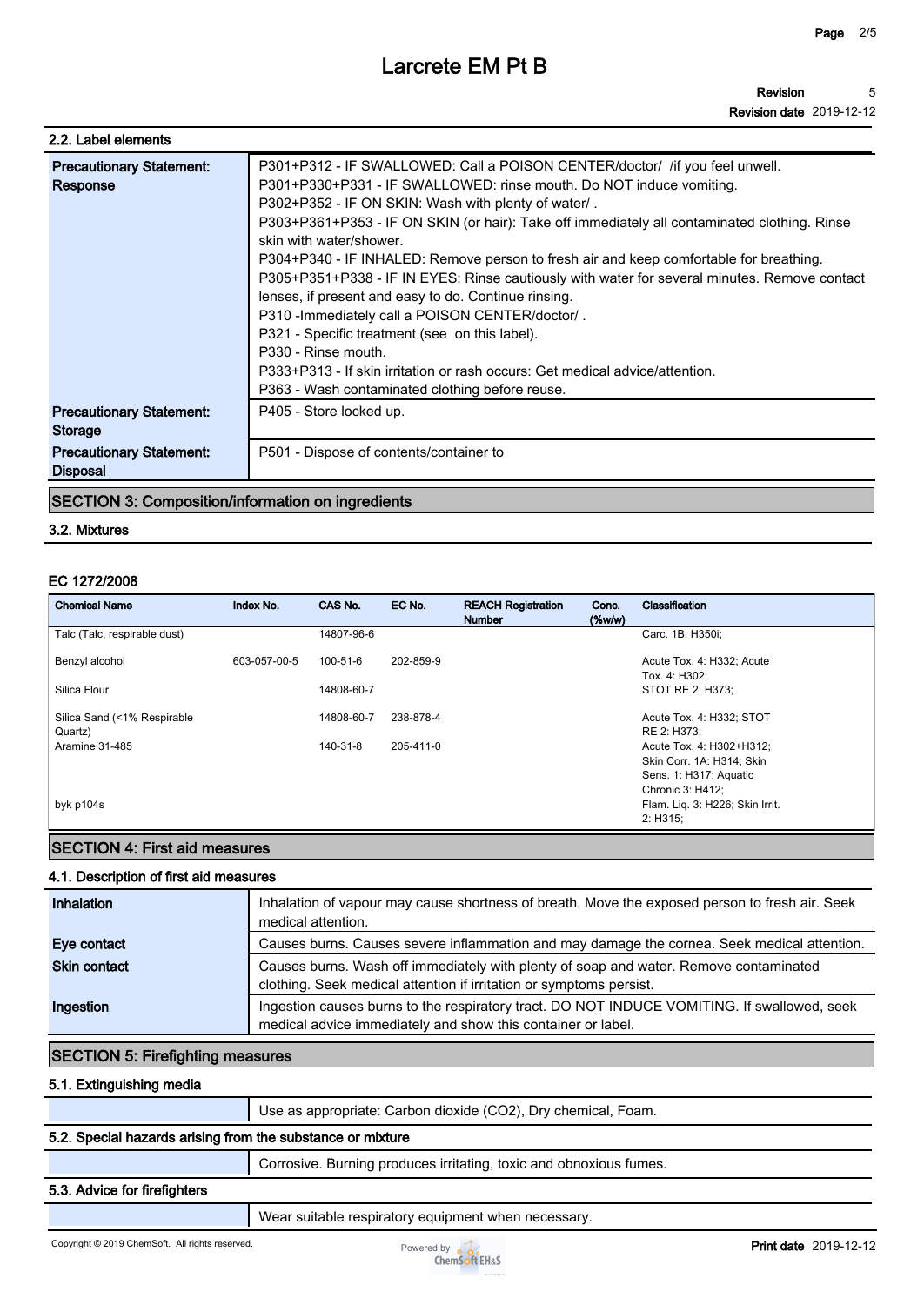| 2.2. Label elements                                |                                                                                                                                                                                                                                                                                                                                                                                                                                                                                                                                                                                                                                                                                                                                                                                                                                                         |  |  |  |
|----------------------------------------------------|---------------------------------------------------------------------------------------------------------------------------------------------------------------------------------------------------------------------------------------------------------------------------------------------------------------------------------------------------------------------------------------------------------------------------------------------------------------------------------------------------------------------------------------------------------------------------------------------------------------------------------------------------------------------------------------------------------------------------------------------------------------------------------------------------------------------------------------------------------|--|--|--|
| <b>Precautionary Statement:</b><br>Response        | P301+P312 - IF SWALLOWED: Call a POISON CENTER/doctor/ / if you feel unwell.<br>P301+P330+P331 - IF SWALLOWED: rinse mouth. Do NOT induce vomiting.<br>P302+P352 - IF ON SKIN: Wash with plenty of water/.<br>P303+P361+P353 - IF ON SKIN (or hair): Take off immediately all contaminated clothing. Rinse<br>skin with water/shower.<br>P304+P340 - IF INHALED: Remove person to fresh air and keep comfortable for breathing.<br>P305+P351+P338 - IF IN EYES: Rinse cautiously with water for several minutes. Remove contact<br>lenses, if present and easy to do. Continue rinsing.<br>P310 - Immediately call a POISON CENTER/doctor/.<br>P321 - Specific treatment (see on this label).<br>P330 - Rinse mouth.<br>P333+P313 - If skin irritation or rash occurs: Get medical advice/attention.<br>P363 - Wash contaminated clothing before reuse. |  |  |  |
| <b>Precautionary Statement:</b><br><b>Storage</b>  | P405 - Store locked up.                                                                                                                                                                                                                                                                                                                                                                                                                                                                                                                                                                                                                                                                                                                                                                                                                                 |  |  |  |
| <b>Precautionary Statement:</b><br><b>Disposal</b> | P501 - Dispose of contents/container to                                                                                                                                                                                                                                                                                                                                                                                                                                                                                                                                                                                                                                                                                                                                                                                                                 |  |  |  |

# **SECTION 3: Composition/information on ingredients**

#### **3.2. Mixtures**

#### **EC 1272/2008**

| <b>Chemical Name</b>                   | Index No.    | CAS No.        | EC No.    | <b>REACH Registration</b><br><b>Number</b> | Conc.<br>$(\%w/w)$ | Classification                                                                                      |
|----------------------------------------|--------------|----------------|-----------|--------------------------------------------|--------------------|-----------------------------------------------------------------------------------------------------|
| Talc (Talc, respirable dust)           |              | 14807-96-6     |           |                                            |                    | Carc. 1B: H350i;                                                                                    |
| Benzyl alcohol                         | 603-057-00-5 | $100 - 51 - 6$ | 202-859-9 |                                            |                    | Acute Tox. 4: H332; Acute<br>Tox. 4: H302;                                                          |
| Silica Flour                           |              | 14808-60-7     |           |                                            |                    | STOT RE 2: H373;                                                                                    |
| Silica Sand (<1% Respirable<br>Quartz) |              | 14808-60-7     | 238-878-4 |                                            |                    | Acute Tox. 4: H332; STOT<br>RE 2: H373:                                                             |
| Aramine 31-485                         |              | 140-31-8       | 205-411-0 |                                            |                    | Acute Tox. 4: H302+H312;<br>Skin Corr. 1A: H314; Skin<br>Sens. 1: H317; Aquatic<br>Chronic 3: H412; |
| byk p104s                              |              |                |           |                                            |                    | Flam. Lig. 3: H226; Skin Irrit.<br>2: H315;                                                         |

# **SECTION 4: First aid measures**

#### **4.1. Description of first aid measures**

| Inhalation          | Inhalation of vapour may cause shortness of breath. Move the exposed person to fresh air. Seek<br>medical attention.                                         |
|---------------------|--------------------------------------------------------------------------------------------------------------------------------------------------------------|
| Eye contact         | Causes burns. Causes severe inflammation and may damage the cornea. Seek medical attention.                                                                  |
| <b>Skin contact</b> | Causes burns. Wash off immediately with plenty of soap and water. Remove contaminated<br>clothing. Seek medical attention if irritation or symptoms persist. |
| Ingestion           | Ingestion causes burns to the respiratory tract. DO NOT INDUCE VOMITING. If swallowed, seek<br>medical advice immediately and show this container or label.  |

# **SECTION 5: Firefighting measures**

### **5.1. Extinguishing media**

**Use as appropriate: Carbon dioxide (CO2), Dry chemical, Foam.**

### **5.2. Special hazards arising from the substance or mixture**

**Corrosive. Burning produces irritating, toxic and obnoxious fumes.**

#### **5.3. Advice for firefighters**

**Wear suitable respiratory equipment when necessary.**

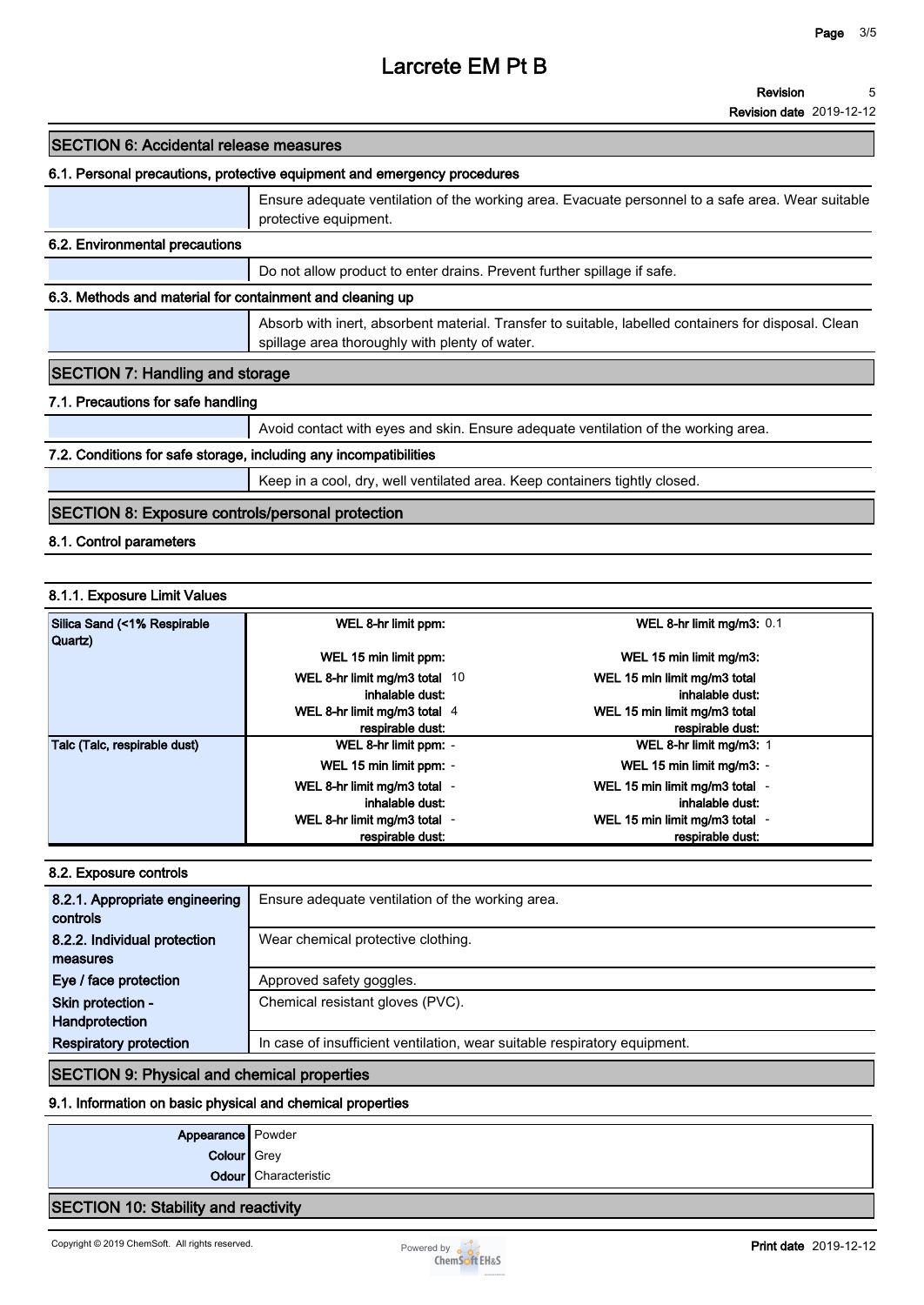**Revision date 2019-12-12**

### **SECTION 6: Accidental release measures**

#### **6.1. Personal precautions, protective equipment and emergency procedures**

|                                                           | Ensure adequate ventilation of the working area. Evacuate personnel to a safe area. Wear suitable<br>protective equipment.                             |  |  |  |
|-----------------------------------------------------------|--------------------------------------------------------------------------------------------------------------------------------------------------------|--|--|--|
| 6.2. Environmental precautions                            |                                                                                                                                                        |  |  |  |
|                                                           | Do not allow product to enter drains. Prevent further spillage if safe.                                                                                |  |  |  |
| 6.3. Methods and material for containment and cleaning up |                                                                                                                                                        |  |  |  |
|                                                           | Absorb with inert, absorbent material. Transfer to suitable, labelled containers for disposal. Clean<br>spillage area thoroughly with plenty of water. |  |  |  |
| <b>SECTION 7: Handling and storage</b>                    |                                                                                                                                                        |  |  |  |
| 7.1. Precautions for safe handling                        |                                                                                                                                                        |  |  |  |
|                                                           | Avoid contact with eyes and skin. Ensure adequate ventilation of the working area.                                                                     |  |  |  |

#### **7.2. Conditions for safe storage, including any incompatibilities**

**Keep in a cool, dry, well ventilated area. Keep containers tightly closed.**

# **SECTION 8: Exposure controls/personal protection**

**8.1. Control parameters**

### **8.1.1. Exposure Limit Values**

| Silica Sand (<1% Respirable<br>Quartz) | WEL 8-hr limit ppm:           | WEL 8-hr limit mg/m3: 0.1                                |
|----------------------------------------|-------------------------------|----------------------------------------------------------|
|                                        | WEL 15 min limit ppm:         | WEL 15 min limit mg/m3:                                  |
|                                        | WEL 8-hr limit mg/m3 total 10 | WEL 15 min limit mg/m3 total                             |
|                                        | inhalable dust:               | inhalable dust:                                          |
|                                        | WEL 8-hr limit mg/m3 total 4  | WEL 15 min limit mg/m3 total                             |
|                                        | respirable dust:              | respirable dust:                                         |
| Talc (Talc, respirable dust)           | WEL 8-hr limit ppm: -         | WEL 8-hr limit mg/m3: 1                                  |
|                                        | WEL 15 min limit ppm: -       | WEL 15 min limit mg/m3: -                                |
|                                        | WEL 8-hr limit mg/m3 total -  | WEL 15 min limit mg/m3 total -                           |
|                                        | inhalable dust:               | inhalable dust:                                          |
|                                        | WEL 8-hr limit mg/m3 total -  | WEL 15 min limit mg/m3 total<br>$\overline{\phantom{a}}$ |
|                                        | respirable dust:              | respirable dust:                                         |

#### **8.2. Exposure controls**

| 8.2.1. Appropriate engineering<br>controls | Ensure adequate ventilation of the working area.                          |  |  |  |
|--------------------------------------------|---------------------------------------------------------------------------|--|--|--|
| 8.2.2. Individual protection               | Wear chemical protective clothing.                                        |  |  |  |
| measures                                   |                                                                           |  |  |  |
| Eye / face protection                      | Approved safety goggles.                                                  |  |  |  |
| Skin protection -                          | Chemical resistant gloves (PVC).                                          |  |  |  |
| Handprotection                             |                                                                           |  |  |  |
| <b>Respiratory protection</b>              | In case of insufficient ventilation, wear suitable respiratory equipment. |  |  |  |

### **SECTION 9: Physical and chemical properties**

### **9.1. Information on basic physical and chemical properties**

| Appearance Powder |                      |
|-------------------|----------------------|
| Colour Grey       |                      |
|                   | Odour Characteristic |
|                   |                      |

### **SECTION 10: Stability and reactivity**

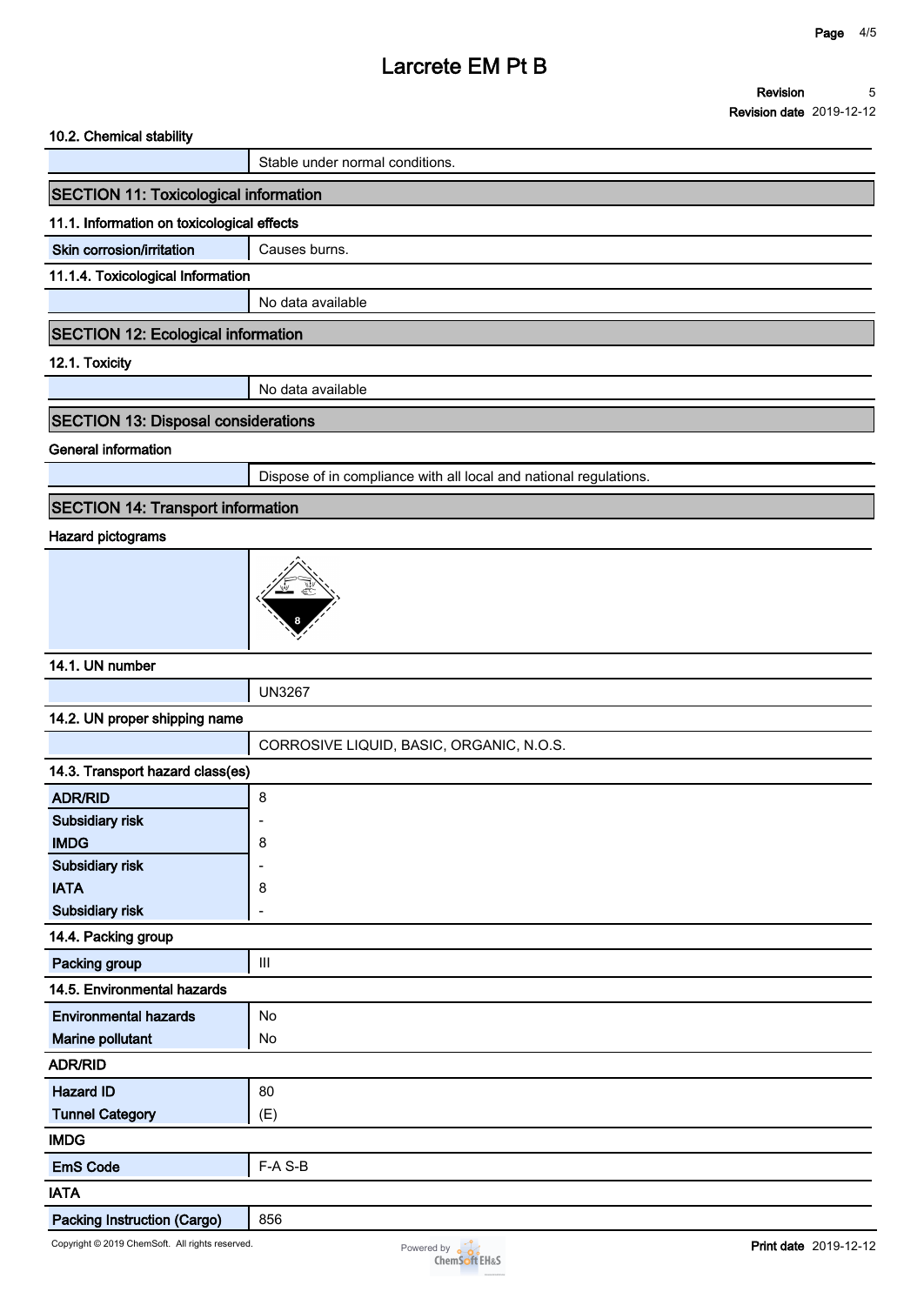#### **10.2. Chemical stability**

**Stable under normal conditions.**

# **SECTION 11: Toxicological information**

#### **11.1. Information on toxicological effects**

**Skin corrosion/irritation** | Causes burns.

#### **11.1.4. Toxicological Information**

**No data available**

#### **SECTION 12: Ecological information**

**12.1. Toxicity**

**No data available**

# **SECTION 13: Disposal considerations**

**General information**

**Dispose of in compliance with all local and national regulations.**

# **SECTION 14: Transport information**

### **Hazard pictograms**



### **14.1. UN number**

**UN3267**

#### **14.2. UN proper shipping name**

|                                    | CORROSIVE LIQUID, BASIC, ORGANIC, N.O.S. |  |  |  |
|------------------------------------|------------------------------------------|--|--|--|
| 14.3. Transport hazard class(es)   |                                          |  |  |  |
| <b>ADR/RID</b>                     | 8                                        |  |  |  |
| Subsidiary risk                    | ٠                                        |  |  |  |
| <b>IMDG</b>                        | 8                                        |  |  |  |
| Subsidiary risk                    | ٠                                        |  |  |  |
| <b>IATA</b>                        | 8                                        |  |  |  |
| Subsidiary risk                    | ۰                                        |  |  |  |
| 14.4. Packing group                |                                          |  |  |  |
| Packing group                      | $\mathop{\rm III}$                       |  |  |  |
| 14.5. Environmental hazards        |                                          |  |  |  |
| <b>Environmental hazards</b>       | No                                       |  |  |  |
| Marine pollutant                   | No                                       |  |  |  |
| <b>ADR/RID</b>                     |                                          |  |  |  |
| <b>Hazard ID</b>                   | 80                                       |  |  |  |
| <b>Tunnel Category</b>             | (E)                                      |  |  |  |
| <b>IMDG</b>                        |                                          |  |  |  |
| <b>EmS Code</b>                    | F-A S-B                                  |  |  |  |
| <b>IATA</b>                        |                                          |  |  |  |
| <b>Packing Instruction (Cargo)</b> | 856                                      |  |  |  |

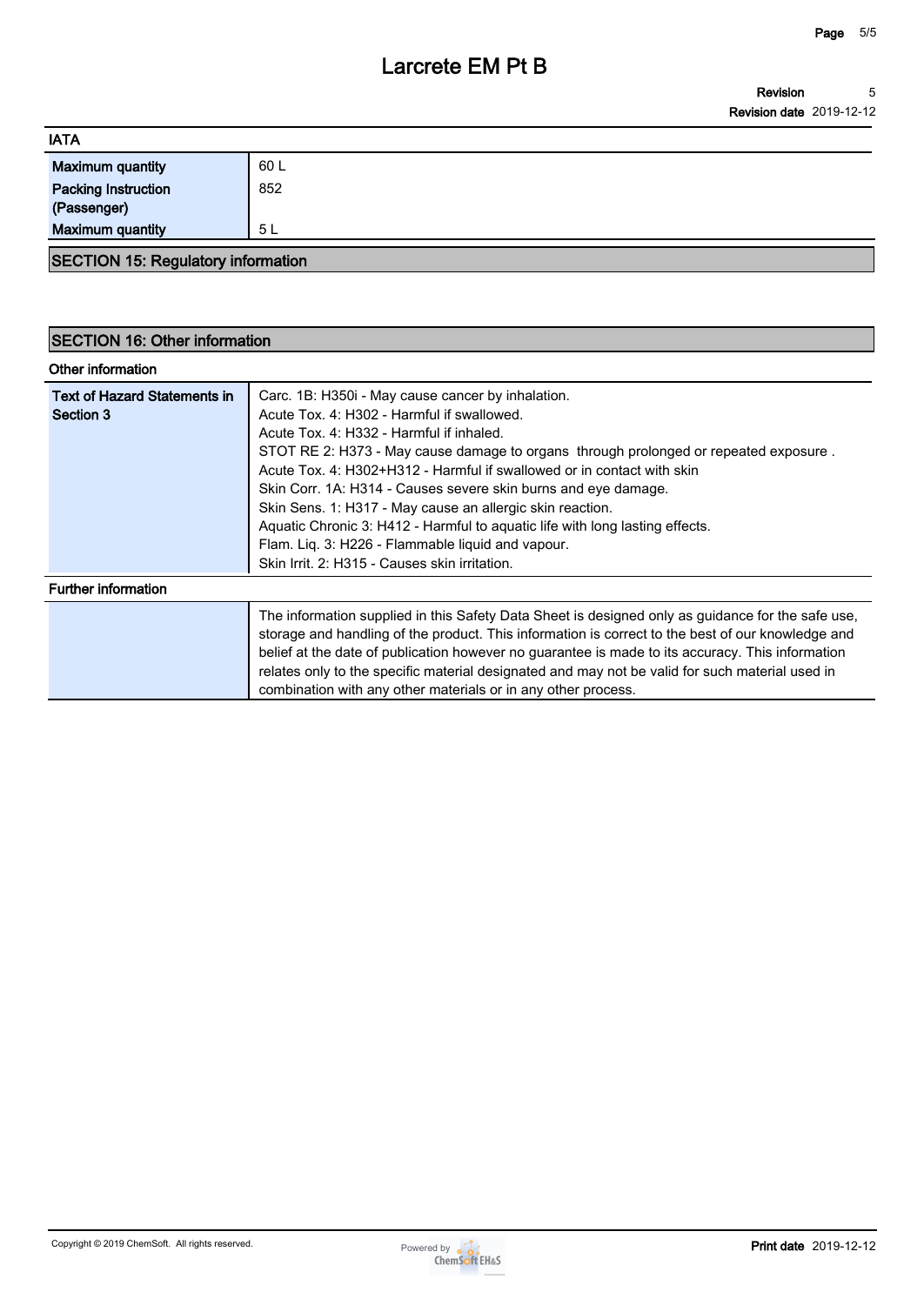| <b>IATA</b>                               |      |  |
|-------------------------------------------|------|--|
| <b>Maximum quantity</b>                   | 60 L |  |
| <b>Packing Instruction</b><br>(Passenger) | 852  |  |
| <b>Maximum quantity</b>                   | 5 L  |  |
| <b>SECTION 15: Regulatory information</b> |      |  |

# **SECTION 16: Other information**

|  | Other information |  |
|--|-------------------|--|
|--|-------------------|--|

| <b>Text of Hazard Statements in</b><br>Section 3 | Carc. 1B: H350i - May cause cancer by inhalation.<br>Acute Tox. 4: H302 - Harmful if swallowed.<br>Acute Tox. 4: H332 - Harmful if inhaled.<br>STOT RE 2: H373 - May cause damage to organs through prolonged or repeated exposure.<br>Acute Tox, 4: H302+H312 - Harmful if swallowed or in contact with skin<br>Skin Corr. 1A: H314 - Causes severe skin burns and eye damage.<br>Skin Sens. 1: H317 - May cause an allergic skin reaction.<br>Aquatic Chronic 3: H412 - Harmful to aquatic life with long lasting effects.<br>Flam. Liq. 3: H226 - Flammable liquid and vapour. |
|--------------------------------------------------|-----------------------------------------------------------------------------------------------------------------------------------------------------------------------------------------------------------------------------------------------------------------------------------------------------------------------------------------------------------------------------------------------------------------------------------------------------------------------------------------------------------------------------------------------------------------------------------|
| <b>Further information</b>                       | Skin Irrit, 2: H315 - Causes skin irritation.                                                                                                                                                                                                                                                                                                                                                                                                                                                                                                                                     |
|                                                  | The information supplied in this Safety Data Sheet is designed only as guidance for the safe use,<br>storage and handling of the product. This information is correct to the best of our knowledge and<br>belief at the date of publication however no guarantee is made to its accuracy. This information<br>relates only to the specific material designated and may not be valid for such material used in<br>combination with any other materials or in any other process.                                                                                                    |

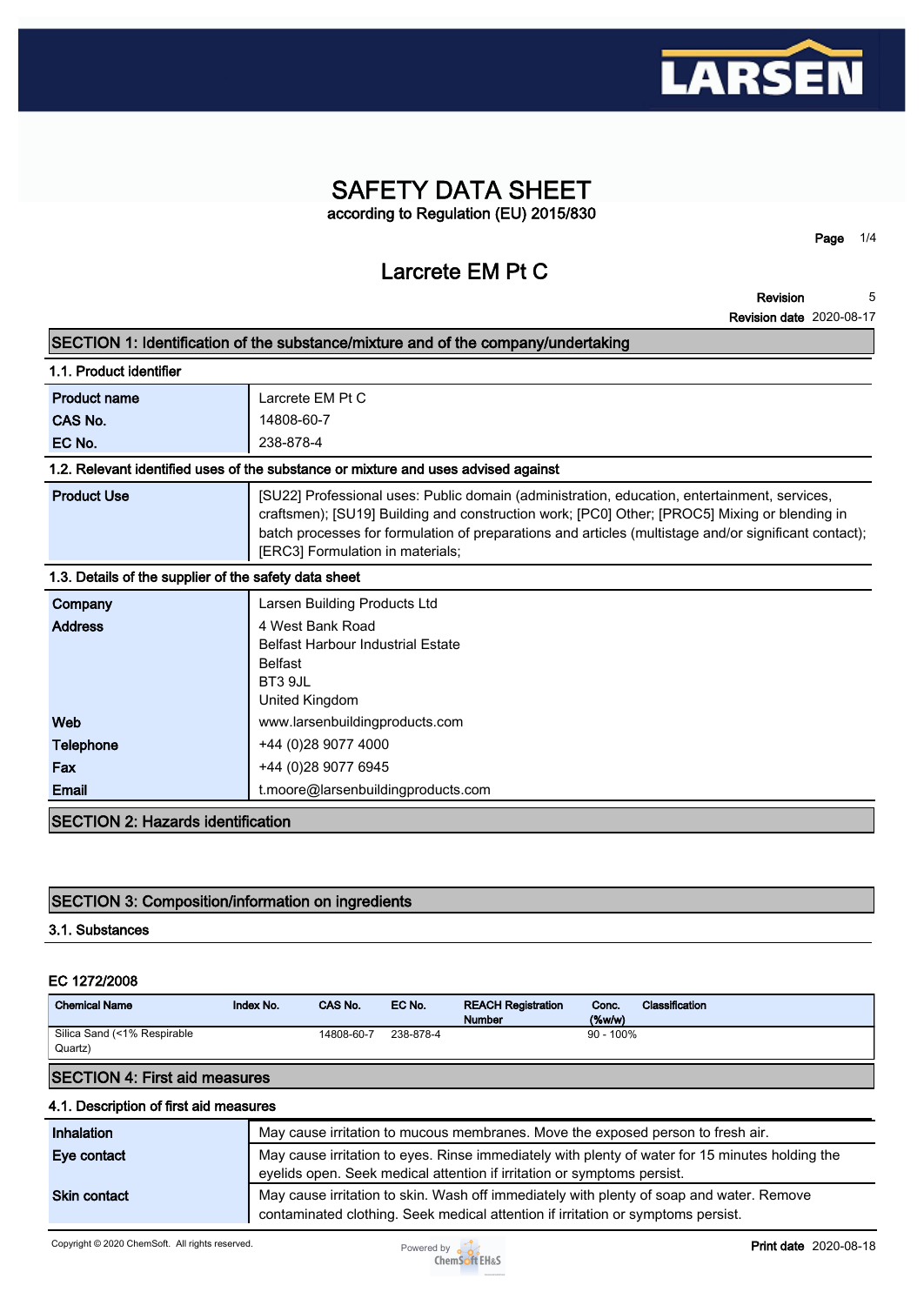

# **SAFETY DATA SHEET according to Regulation (EU) 2015/830**

# **Larcrete EM Pt C**

**Page 1/4**

| SECTION 1: Identification of the substance/mixture and of the company/undertaking  |                                                                                                                                                                                                                                                                                                                                            |  |
|------------------------------------------------------------------------------------|--------------------------------------------------------------------------------------------------------------------------------------------------------------------------------------------------------------------------------------------------------------------------------------------------------------------------------------------|--|
| 1.1. Product identifier                                                            |                                                                                                                                                                                                                                                                                                                                            |  |
| <b>Product name</b>                                                                | Larcrete EM Pt C                                                                                                                                                                                                                                                                                                                           |  |
| CAS No.                                                                            | 14808-60-7                                                                                                                                                                                                                                                                                                                                 |  |
| EC No.                                                                             | 238-878-4                                                                                                                                                                                                                                                                                                                                  |  |
| 1.2. Relevant identified uses of the substance or mixture and uses advised against |                                                                                                                                                                                                                                                                                                                                            |  |
| <b>Product Use</b>                                                                 | [SU22] Professional uses: Public domain (administration, education, entertainment, services,<br>craftsmen); [SU19] Building and construction work; [PC0] Other; [PROC5] Mixing or blending in<br>batch processes for formulation of preparations and articles (multistage and/or significant contact);<br>[ERC3] Formulation in materials; |  |
| 1.3. Details of the supplier of the safety data sheet                              |                                                                                                                                                                                                                                                                                                                                            |  |
| Company                                                                            | Larsen Building Products Ltd                                                                                                                                                                                                                                                                                                               |  |
| <b>Address</b>                                                                     | 4 West Bank Road                                                                                                                                                                                                                                                                                                                           |  |
|                                                                                    | <b>Belfast Harbour Industrial Estate</b>                                                                                                                                                                                                                                                                                                   |  |
|                                                                                    | <b>Belfast</b><br>BT3 9JL                                                                                                                                                                                                                                                                                                                  |  |
|                                                                                    | United Kingdom                                                                                                                                                                                                                                                                                                                             |  |
| Web                                                                                | www.larsenbuildingproducts.com                                                                                                                                                                                                                                                                                                             |  |
| <b>Telephone</b>                                                                   | +44 (0)28 9077 4000                                                                                                                                                                                                                                                                                                                        |  |
| Fax                                                                                | +44 (0)28 9077 6945                                                                                                                                                                                                                                                                                                                        |  |
| Email                                                                              | t.moore@larsenbuildingproducts.com                                                                                                                                                                                                                                                                                                         |  |
| <b>SECTION 2: Hazards identification</b>                                           |                                                                                                                                                                                                                                                                                                                                            |  |

# **SECTION 3: Composition/information on ingredients**

# **3.1. Substances**

#### **EC 1272/2008**

| <b>Chemical Name</b>                   | Index No. | CAS No.    | EC No.    | <b>REACH Registration</b><br><b>Number</b> | Conc.<br>$($ %w/w $)$ | Classification |
|----------------------------------------|-----------|------------|-----------|--------------------------------------------|-----------------------|----------------|
| Silica Sand (<1% Respirable<br>Quartz) |           | 14808-60-7 | 238-878-4 |                                            | $90 - 100\%$          |                |

### **SECTION 4: First aid measures**

#### **4.1. Description of first aid measures**

| <b>Inhalation</b>   | May cause irritation to mucous membranes. Move the exposed person to fresh air.                                                                                            |
|---------------------|----------------------------------------------------------------------------------------------------------------------------------------------------------------------------|
| Eye contact         | May cause irritation to eyes. Rinse immediately with plenty of water for 15 minutes holding the<br>eyelids open. Seek medical attention if irritation or symptoms persist. |
| <b>Skin contact</b> | May cause irritation to skin. Wash off immediately with plenty of soap and water. Remove                                                                                   |
|                     | contaminated clothing. Seek medical attention if irritation or symptoms persist.                                                                                           |

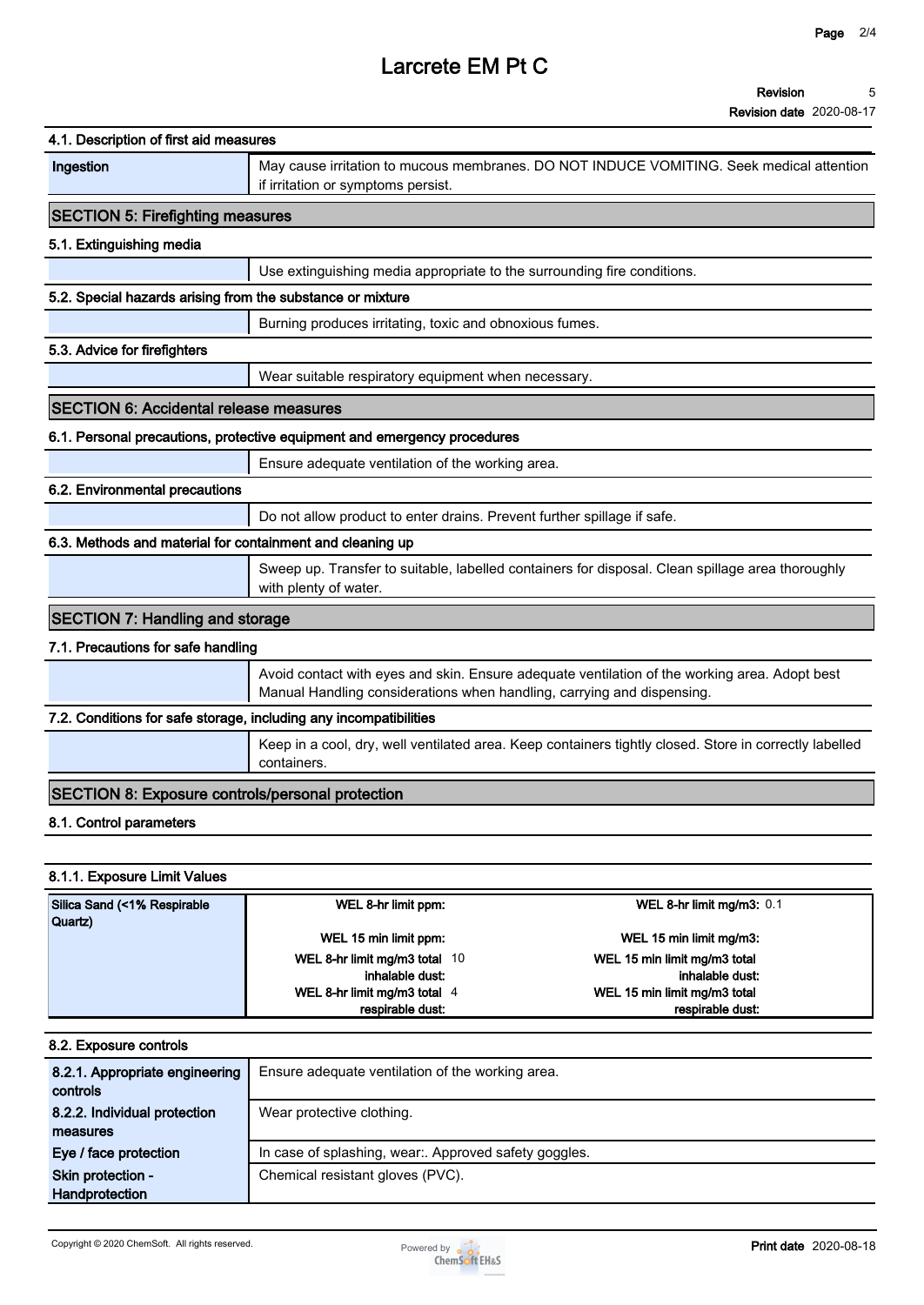| 4.1. Description of first aid measures                            |                                                                          |                                                                                                        |
|-------------------------------------------------------------------|--------------------------------------------------------------------------|--------------------------------------------------------------------------------------------------------|
| Ingestion                                                         | if irritation or symptoms persist.                                       | May cause irritation to mucous membranes. DO NOT INDUCE VOMITING. Seek medical attention               |
| <b>SECTION 5: Firefighting measures</b>                           |                                                                          |                                                                                                        |
| 5.1. Extinguishing media                                          |                                                                          |                                                                                                        |
|                                                                   | Use extinguishing media appropriate to the surrounding fire conditions.  |                                                                                                        |
| 5.2. Special hazards arising from the substance or mixture        |                                                                          |                                                                                                        |
|                                                                   | Burning produces irritating, toxic and obnoxious fumes.                  |                                                                                                        |
| 5.3. Advice for firefighters                                      |                                                                          |                                                                                                        |
|                                                                   | Wear suitable respiratory equipment when necessary.                      |                                                                                                        |
| <b>SECTION 6: Accidental release measures</b>                     |                                                                          |                                                                                                        |
|                                                                   | 6.1. Personal precautions, protective equipment and emergency procedures |                                                                                                        |
|                                                                   | Ensure adequate ventilation of the working area.                         |                                                                                                        |
| 6.2. Environmental precautions                                    |                                                                          |                                                                                                        |
|                                                                   | Do not allow product to enter drains. Prevent further spillage if safe.  |                                                                                                        |
| 6.3. Methods and material for containment and cleaning up         |                                                                          |                                                                                                        |
|                                                                   | with plenty of water.                                                    | Sweep up. Transfer to suitable, labelled containers for disposal. Clean spillage area thoroughly       |
| <b>SECTION 7: Handling and storage</b>                            |                                                                          |                                                                                                        |
| 7.1. Precautions for safe handling                                |                                                                          |                                                                                                        |
|                                                                   | Manual Handling considerations when handling, carrying and dispensing.   | Avoid contact with eyes and skin. Ensure adequate ventilation of the working area. Adopt best          |
| 7.2. Conditions for safe storage, including any incompatibilities |                                                                          |                                                                                                        |
|                                                                   | containers.                                                              | Keep in a cool, dry, well ventilated area. Keep containers tightly closed. Store in correctly labelled |
| <b>SECTION 8: Exposure controls/personal protection</b>           |                                                                          |                                                                                                        |
| 8.1. Control parameters                                           |                                                                          |                                                                                                        |
|                                                                   |                                                                          |                                                                                                        |
| 8.1.1. Exposure Limit Values                                      |                                                                          |                                                                                                        |
| Silica Sand (<1% Respirable<br>Quartz)                            | WEL 8-hr limit ppm:                                                      | WEL 8-hr limit mg/m3: 0.1                                                                              |

| <b>Quartz</b> ) |                               |                              |  |
|-----------------|-------------------------------|------------------------------|--|
|                 | WEL 15 min limit ppm:         | WEL 15 min limit mg/m3:      |  |
|                 | WEL 8-hr limit mg/m3 total 10 | WEL 15 min limit mg/m3 total |  |
|                 | inhalable dust:               | inhalable dust:              |  |
|                 | WEL 8-hr limit mg/m3 total 4  | WEL 15 min limit mg/m3 total |  |
|                 | respirable dust:              | respirable dust:             |  |
|                 |                               |                              |  |

| 8.2. Exposure controls                     |                                                       |
|--------------------------------------------|-------------------------------------------------------|
| 8.2.1. Appropriate engineering<br>controls | Ensure adequate ventilation of the working area.      |
| 8.2.2. Individual protection               | Wear protective clothing.                             |
| measures                                   |                                                       |
| Eye / face protection                      | In case of splashing, wear:. Approved safety goggles. |
| Skin protection -                          | Chemical resistant gloves (PVC).                      |
| Handprotection                             |                                                       |

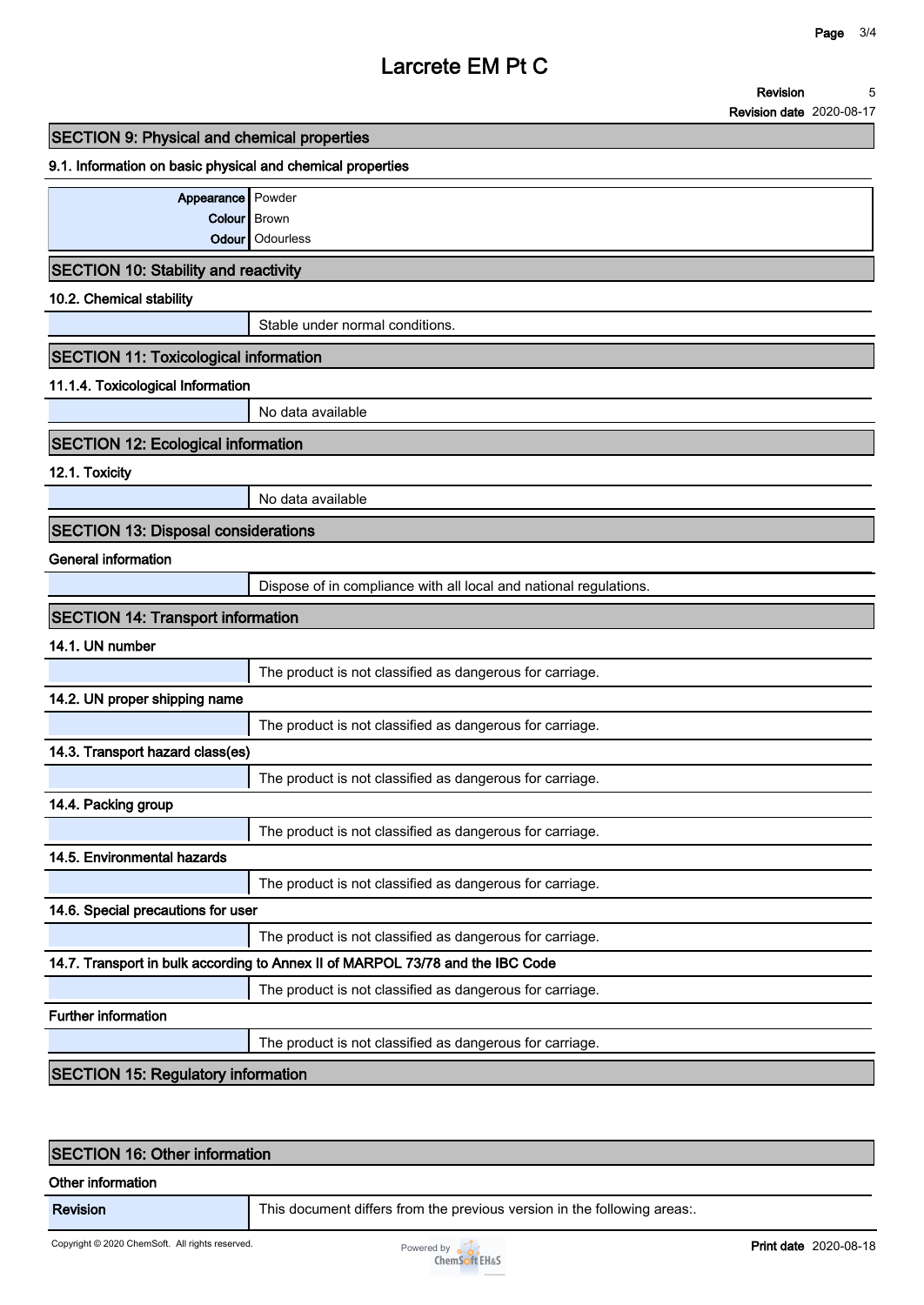**Revision 5**

**Revision date 2020-08-17**

| <b>SECTION 9: Physical and chemical properties</b> |  |
|----------------------------------------------------|--|
|----------------------------------------------------|--|

#### **9.1. Information on basic physical and chemical properties**

| Appearance Powder |                 |
|-------------------|-----------------|
| Colour Brown      |                 |
|                   | Odour Odourless |

#### **SECTION 10: Stability and reactivity**

**10.2. Chemical stability**

**Stable under normal conditions.**

### **SECTION 11: Toxicological information**

#### **11.1.4. Toxicological Information**

**No data available**

# **SECTION 12: Ecological information**

#### **12.1. Toxicity**

**No data available**

### **SECTION 13: Disposal considerations**

#### **General information**

**Dispose of in compliance with all local and national regulations.**

| <b>SECTION 14: Transport information</b>                                       |                                                          |  |  |
|--------------------------------------------------------------------------------|----------------------------------------------------------|--|--|
| 14.1. UN number                                                                |                                                          |  |  |
|                                                                                | The product is not classified as dangerous for carriage. |  |  |
| 14.2. UN proper shipping name                                                  |                                                          |  |  |
|                                                                                | The product is not classified as dangerous for carriage. |  |  |
| 14.3. Transport hazard class(es)                                               |                                                          |  |  |
|                                                                                | The product is not classified as dangerous for carriage. |  |  |
| 14.4. Packing group                                                            |                                                          |  |  |
|                                                                                | The product is not classified as dangerous for carriage. |  |  |
| 14.5. Environmental hazards                                                    |                                                          |  |  |
|                                                                                | The product is not classified as dangerous for carriage. |  |  |
| 14.6. Special precautions for user                                             |                                                          |  |  |
|                                                                                | The product is not classified as dangerous for carriage. |  |  |
| 14.7. Transport in bulk according to Annex II of MARPOL 73/78 and the IBC Code |                                                          |  |  |
|                                                                                | The product is not classified as dangerous for carriage. |  |  |
| <b>Further information</b>                                                     |                                                          |  |  |
|                                                                                | The product is not classified as dangerous for carriage. |  |  |

### **SECTION 15: Regulatory information**

### **SECTION 16: Other information**

#### **Other information**

**Revision This document differs from the previous version in the following areas:.**